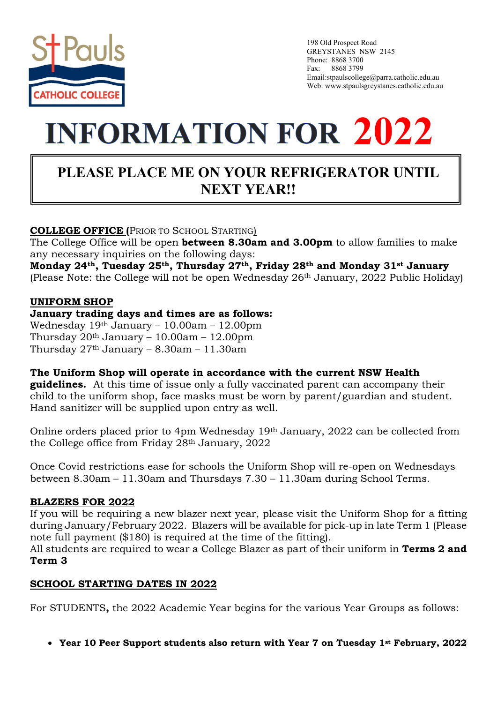

 198 Old Prospect Road GREYSTANES NSW 2145 Phone: 8868 3700 Fax: 8868 3799 Email:stpaulscollege@parra.catholic.edu.au Web: www.stpaulsgreystanes.catholic.edu.au

# **INFORMATION FOR 2022**

# **PLEASE PLACE ME ON YOUR REFRIGERATOR UNTIL NEXT YEAR!!**

# **COLLEGE OFFICE (**PRIOR TO SCHOOL STARTING)

The College Office will be open **between 8.30am and 3.00pm** to allow families to make any necessary inquiries on the following days:

**Monday 24th, Tuesday 25th, Thursday 27th, Friday 28th and Monday 31st January** (Please Note: the College will not be open Wednesday 26th January, 2022 Public Holiday)

#### **UNIFORM SHOP**

#### **January trading days and times are as follows:**

Wednesday 19th January – 10.00am – 12.00pm Thursday 20th January – 10.00am – 12.00pm Thursday  $27<sup>th</sup>$  January – 8.30am – 11.30am

## **The Uniform Shop will operate in accordance with the current NSW Health**

**guidelines.** At this time of issue only a fully vaccinated parent can accompany their child to the uniform shop, face masks must be worn by parent/guardian and student. Hand sanitizer will be supplied upon entry as well.

Online orders placed prior to 4pm Wednesday 19th January, 2022 can be collected from the College office from Friday 28th January, 2022

Once Covid restrictions ease for schools the Uniform Shop will re-open on Wednesdays between 8.30am – 11.30am and Thursdays 7.30 – 11.30am during School Terms.

## **BLAZERS FOR 2022**

If you will be requiring a new blazer next year, please visit the Uniform Shop for a fitting during January/February 2022. Blazers will be available for pick-up in late Term 1 (Please note full payment (\$180) is required at the time of the fitting).

All students are required to wear a College Blazer as part of their uniform in **Terms 2 and Term 3**

#### **SCHOOL STARTING DATES IN 2022**

For STUDENTS**,** the 2022 Academic Year begins for the various Year Groups as follows:

• **Year 10 Peer Support students also return with Year 7 on Tuesday 1st February, 2022**